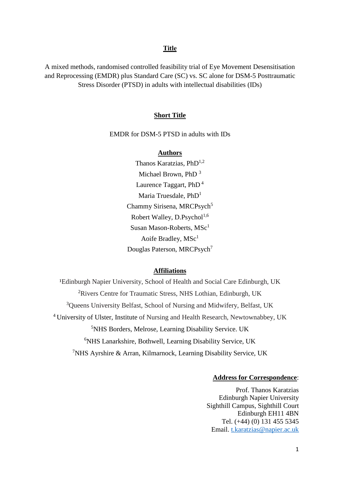# **Title**

A mixed methods, randomised controlled feasibility trial of Eye Movement Desensitisation and Reprocessing (EMDR) plus Standard Care (SC) vs. SC alone for DSM-5 Posttraumatic Stress Disorder (PTSD) in adults with intellectual disabilities (IDs)

## **Short Title**

EMDR for DSM-5 PTSD in adults with IDs

## **Authors**

Thanos Karatzias, PhD<sup>1,2</sup> Michael Brown, PhD <sup>3</sup> Laurence Taggart, PhD <sup>4</sup> Maria Truesdale, PhD<sup>1</sup> Chammy Sirisena, MRCPsych<sup>5</sup> Robert Walley, D.Psychol $^{1,6}$ Susan Mason-Roberts,  $MSc<sup>1</sup>$ Aoife Bradley,  $MSc<sup>1</sup>$ Douglas Paterson, MRCPsych<sup>7</sup>

#### **Affiliations**

<sup>1</sup>Edinburgh Napier University, School of Health and Social Care Edinburgh, UK Rivers Centre for Traumatic Stress, NHS Lothian, Edinburgh, UK Queens University Belfast, School of Nursing and Midwifery, Belfast, UK University of Ulster, Institute of Nursing and Health Research, Newtownabbey, UK NHS Borders, Melrose, Learning Disability Service. UK <sup>6</sup>NHS Lanarkshire, Bothwell, Learning Disability Service, UK NHS Ayrshire & Arran, Kilmarnock, Learning Disability Service, UK

## **Address for Correspondence**:

Prof. Thanos Karatzias Edinburgh Napier University Sighthill Campus, Sighthill Court Edinburgh EH11 4BN Tel. (+44) (0) 131 455 5345 Email. [t.karatzias@napier.ac.uk](mailto:t.karatzias@napier.ac.uk)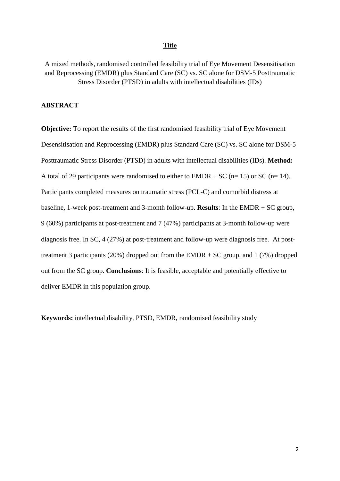# **Title**

A mixed methods, randomised controlled feasibility trial of Eye Movement Desensitisation and Reprocessing (EMDR) plus Standard Care (SC) vs. SC alone for DSM-5 Posttraumatic Stress Disorder (PTSD) in adults with intellectual disabilities (IDs)

# **ABSTRACT**

**Objective:** To report the results of the first randomised feasibility trial of Eye Movement Desensitisation and Reprocessing (EMDR) plus Standard Care (SC) vs. SC alone for DSM-5 Posttraumatic Stress Disorder (PTSD) in adults with intellectual disabilities (IDs). **Method:** A total of 29 participants were randomised to either to  $EMDR + SC$  (n= 15) or SC (n= 14). Participants completed measures on traumatic stress (PCL-C) and comorbid distress at baseline, 1-week post-treatment and 3-month follow-up. **Results**: In the EMDR + SC group, 9 (60%) participants at post-treatment and 7 (47%) participants at 3-month follow-up were diagnosis free. In SC, 4 (27%) at post-treatment and follow-up were diagnosis free. At posttreatment 3 participants (20%) dropped out from the EMDR  $+$  SC group, and 1 (7%) dropped out from the SC group. **Conclusions**: It is feasible, acceptable and potentially effective to deliver EMDR in this population group.

**Keywords:** intellectual disability, PTSD, EMDR, randomised feasibility study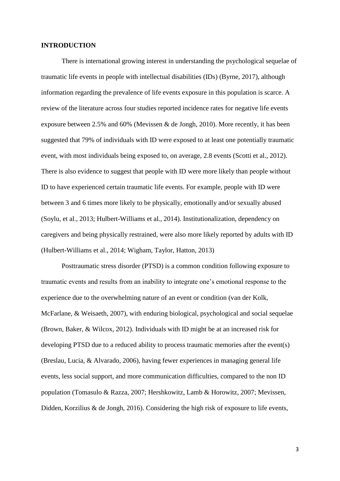## **INTRODUCTION**

There is international growing interest in understanding the psychological sequelae of traumatic life events in people with intellectual disabilities (IDs) (Byrne, 2017), although information regarding the prevalence of life events exposure in this population is scarce. A review of the literature across four studies reported incidence rates for negative life events exposure between 2.5% and 60% (Mevissen & de Jongh, 2010). More recently, it has been suggested that 79% of individuals with ID were exposed to at least one potentially traumatic event, with most individuals being exposed to, on average, 2.8 events (Scotti et al., 2012). There is also evidence to suggest that people with ID were more likely than people without ID to have experienced certain traumatic life events. For example, people with ID were between 3 and 6 times more likely to be physically, emotionally and/or sexually abused (Soylu, et al., 2013; Hulbert-Williams et al., 2014). Institutionalization, dependency on caregivers and being physically restrained, were also more likely reported by adults with ID (Hulbert-Williams et al., 2014; Wigham, Taylor, Hatton, 2013)

Posttraumatic stress disorder (PTSD) is a common condition following exposure to traumatic events and results from an inability to integrate one's emotional response to the experience due to the overwhelming nature of an event or condition (van der Kolk, McFarlane, & Weisaeth, 2007), with enduring biological, psychological and social sequelae (Brown, Baker, & Wilcox, 2012). Individuals with ID might be at an increased risk for developing PTSD due to a reduced ability to process traumatic memories after the event(s) (Breslau, Lucia, & Alvarado, 2006), having fewer experiences in managing general life events, less social support, and more communication difficulties, compared to the non ID population (Tomasulo & Razza, 2007; Hershkowitz, Lamb & Horowitz, 2007; Mevissen, Didden, Korzilius & de Jongh, 2016). Considering the high risk of exposure to life events,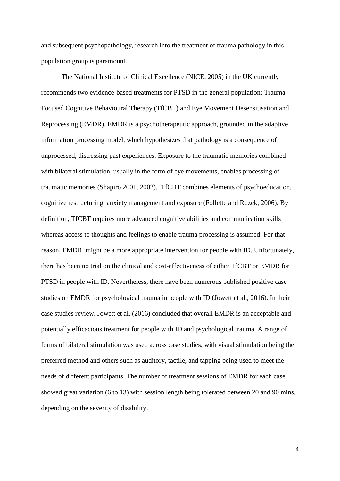and subsequent psychopathology, research into the treatment of trauma pathology in this population group is paramount.

The National Institute of Clinical Excellence (NICE, 2005) in the UK currently recommends two evidence-based treatments for PTSD in the general population; Trauma-Focused Cognitive Behavioural Therapy (TfCBT) and Eye Movement Desensitisation and Reprocessing (EMDR). EMDR is a psychotherapeutic approach, grounded in the adaptive information processing model, which hypothesizes that pathology is a consequence of unprocessed, distressing past experiences. Exposure to the traumatic memories combined with bilateral stimulation, usually in the form of eye movements, enables processing of traumatic memories (Shapiro 2001, 2002). TfCBT combines elements of psychoeducation, cognitive restructuring, anxiety management and exposure (Follette and Ruzek, 2006). By definition, TfCBT requires more advanced cognitive abilities and communication skills whereas access to thoughts and feelings to enable trauma processing is assumed. For that reason, EMDR might be a more appropriate intervention for people with ID. Unfortunately, there has been no trial on the clinical and cost-effectiveness of either TfCBT or EMDR for PTSD in people with ID. Nevertheless, there have been numerous published positive case studies on EMDR for psychological trauma in people with ID (Jowett et al., 2016). In their case studies review, Jowett et al. (2016) concluded that overall EMDR is an acceptable and potentially efficacious treatment for people with ID and psychological trauma. A range of forms of bilateral stimulation was used across case studies, with visual stimulation being the preferred method and others such as auditory, tactile, and tapping being used to meet the needs of different participants. The number of treatment sessions of EMDR for each case showed great variation (6 to 13) with session length being tolerated between 20 and 90 mins, depending on the severity of disability.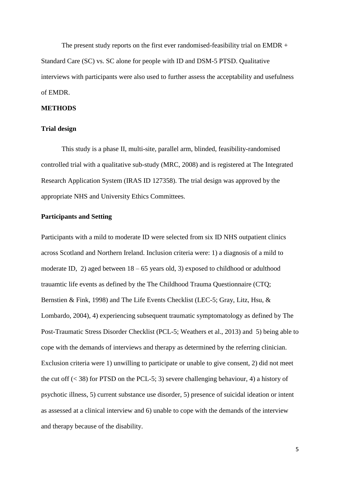The present study reports on the first ever randomised-feasibility trial on EMDR + Standard Care (SC) vs. SC alone for people with ID and DSM-5 PTSD. Qualitative interviews with participants were also used to further assess the acceptability and usefulness of EMDR.

## **METHODS**

# **Trial design**

This study is a phase II, multi-site, parallel arm, blinded, feasibility-randomised controlled trial with a qualitative sub-study (MRC, 2008) and is registered at The Integrated Research Application System (IRAS ID 127358). The trial design was approved by the appropriate NHS and University Ethics Committees.

## **Participants and Setting**

Participants with a mild to moderate ID were selected from six ID NHS outpatient clinics across Scotland and Northern Ireland. Inclusion criteria were: 1) a diagnosis of a mild to moderate ID, 2) aged between  $18 - 65$  years old, 3) exposed to childhood or adulthood trauamtic life events as defined by the The Childhood Trauma Questionnaire (CTQ; Bernstien & Fink, 1998) and The Life Events Checklist (LEC-5; Gray, Litz, Hsu, & Lombardo, 2004), 4) experiencing subsequent traumatic symptomatology as defined by The Post-Traumatic Stress Disorder Checklist (PCL-5; Weathers et al., 2013) and 5) being able to cope with the demands of interviews and therapy as determined by the referring clinician. Exclusion criteria were 1) unwilling to participate or unable to give consent, 2) did not meet the cut off  $(< 38$ ) for PTSD on the PCL-5; 3) severe challenging behaviour, 4) a history of psychotic illness, 5) current substance use disorder, 5) presence of suicidal ideation or intent as assessed at a clinical interview and 6) unable to cope with the demands of the interview and therapy because of the disability.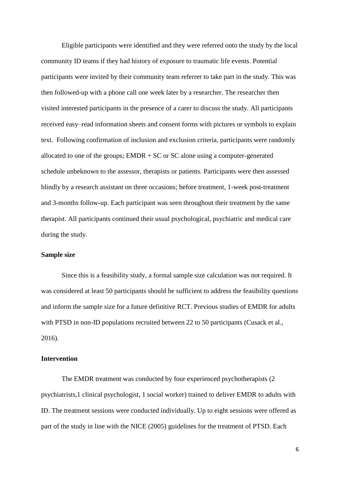Eligible participants were identified and they were referred onto the study by the local community ID teams if they had history of exposure to traumatic life events. Potential participants were invited by their community team referrer to take part in the study. This was then followed-up with a phone call one week later by a researcher. The researcher then visited interested participants in the presence of a carer to discuss the study. All participants received easy–read information sheets and consent forms with pictures or symbols to explain text. Following confirmation of inclusion and exclusion criteria, participants were randomly allocated to one of the groups; EMDR + SC or SC alone using a computer-generated schedule unbeknown to the assessor, therapists or patients. Participants were then assessed blindly by a research assistant on three occasions; before treatment, 1-week post-treatment and 3-months follow-up. Each participant was seen throughout their treatment by the same therapist. All participants continued their usual psychological, psychiatric and medical care during the study.

## **Sample size**

Since this is a feasibility study, a formal sample size calculation was not required. It was considered at least 50 participants should be sufficient to address the feasibility questions and inform the sample size for a future definitive RCT. Previous studies of EMDR for adults with PTSD in non-ID populations recruited between 22 to 50 participants (Cusack et al., 2016).

## **Intervention**

The EMDR treatment was conducted by four experienced psychotherapists (2 psychiatrists,1 clinical psychologist, 1 social worker) trained to deliver EMDR to adults with ID. The treatment sessions were conducted individually. Up to eight sessions were offered as part of the study in line with the NICE (2005) guidelines for the treatment of PTSD. Each

6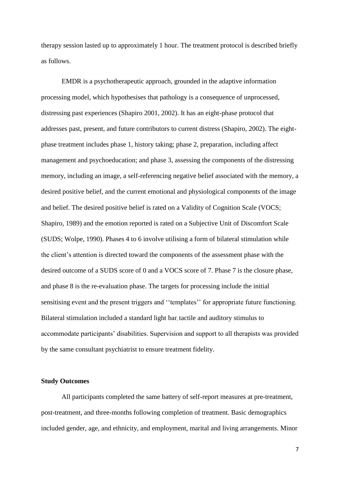therapy session lasted up to approximately 1 hour. The treatment protocol is described briefly as follows.

EMDR is a psychotherapeutic approach, grounded in the adaptive information processing model, which hypothesises that pathology is a consequence of unprocessed, distressing past experiences (Shapiro 2001, 2002). It has an eight-phase protocol that addresses past, present, and future contributors to current distress (Shapiro, 2002). The eightphase treatment includes phase 1, history taking; phase 2, preparation, including affect management and psychoeducation; and phase 3, assessing the components of the distressing memory, including an image, a self-referencing negative belief associated with the memory, a desired positive belief, and the current emotional and physiological components of the image and belief. The desired positive belief is rated on a Validity of Cognition Scale (VOCS; Shapiro, 1989) and the emotion reported is rated on a Subjective Unit of Discomfort Scale (SUDS; Wolpe, 1990). Phases 4 to 6 involve utilising a form of bilateral stimulation while the client's attention is directed toward the components of the assessment phase with the desired outcome of a SUDS score of 0 and a VOCS score of 7. Phase 7 is the closure phase, and phase 8 is the re-evaluation phase. The targets for processing include the initial sensitising event and the present triggers and ''templates'' for appropriate future functioning. Bilateral stimulation included a standard light bar, tactile and auditory stimulus to accommodate participants' disabilities. Supervision and support to all therapists was provided by the same consultant psychiatrist to ensure treatment fidelity.

## **Study Outcomes**

All participants completed the same battery of self-report measures at pre-treatment, post-treatment, and three-months following completion of treatment. Basic demographics included gender, age, and ethnicity, and employment, marital and living arrangements. Minor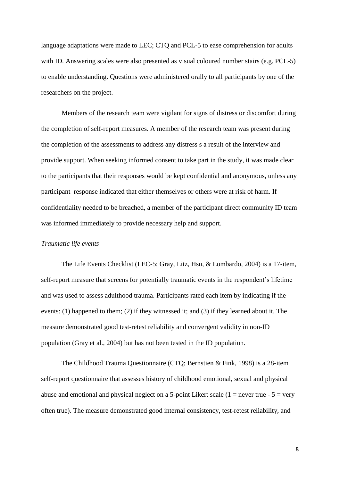language adaptations were made to LEC; CTQ and PCL-5 to ease comprehension for adults with ID. Answering scales were also presented as visual coloured number stairs (e.g. PCL-5) to enable understanding. Questions were administered orally to all participants by one of the researchers on the project.

Members of the research team were vigilant for signs of distress or discomfort during the completion of self-report measures. A member of the research team was present during the completion of the assessments to address any distress s a result of the interview and provide support. When seeking informed consent to take part in the study, it was made clear to the participants that their responses would be kept confidential and anonymous, unless any participant response indicated that either themselves or others were at risk of harm. If confidentiality needed to be breached, a member of the participant direct community ID team was informed immediately to provide necessary help and support.

## *Traumatic life events*

The Life Events Checklist (LEC-5; Gray, Litz, Hsu, & Lombardo, 2004) is a 17-item, self-report measure that screens for potentially traumatic events in the respondent's lifetime and was used to assess adulthood trauma. Participants rated each item by indicating if the events: (1) happened to them; (2) if they witnessed it; and (3) if they learned about it. The measure demonstrated good test-retest reliability and convergent validity in non-ID population (Gray et al., 2004) but has not been tested in the ID population.

The Childhood Trauma Questionnaire (CTQ; Bernstien & Fink, 1998) is a 28-item self-report questionnaire that assesses history of childhood emotional, sexual and physical abuse and emotional and physical neglect on a 5-point Likert scale  $(1 =$  never true -  $5 =$  very often true). The measure demonstrated good internal consistency, test-retest reliability, and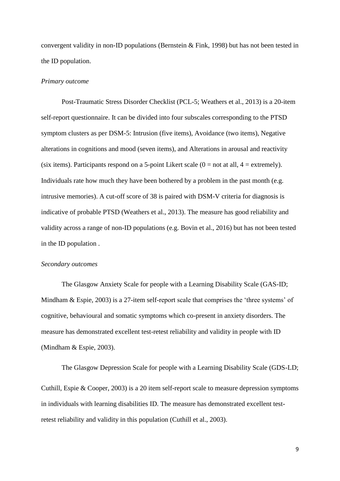convergent validity in non-ID populations (Bernstein & Fink, 1998) but has not been tested in the ID population.

## *Primary outcome*

Post-Traumatic Stress Disorder Checklist (PCL-5; Weathers et al., 2013) is a 20-item self-report questionnaire. It can be divided into four subscales corresponding to the PTSD symptom clusters as per DSM-5: Intrusion (five items), Avoidance (two items), Negative alterations in cognitions and mood (seven items), and Alterations in arousal and reactivity (six items). Participants respond on a 5-point Likert scale  $(0 = not at all, 4 = extremely)$ . Individuals rate how much they have been bothered by a problem in the past month (e.g. intrusive memories). A cut-off score of 38 is paired with DSM-V criteria for diagnosis is indicative of probable PTSD (Weathers et al., 2013). The measure has good reliability and validity across a range of non-ID populations (e.g. Bovin et al., 2016) but has not been tested in the ID population .

#### *Secondary outcomes*

The Glasgow Anxiety Scale for people with a Learning Disability Scale (GAS-ID; Mindham & Espie, 2003) is a 27-item self-report scale that comprises the 'three systems' of cognitive, behavioural and somatic symptoms which co-present in anxiety disorders. The measure has demonstrated excellent test-retest reliability and validity in people with ID (Mindham & Espie, 2003).

The Glasgow Depression Scale for people with a Learning Disability Scale (GDS-LD; Cuthill, Espie & Cooper, 2003) is a 20 item self-report scale to measure depression symptoms in individuals with learning disabilities ID. The measure has demonstrated excellent testretest reliability and validity in this population (Cuthill et al., 2003).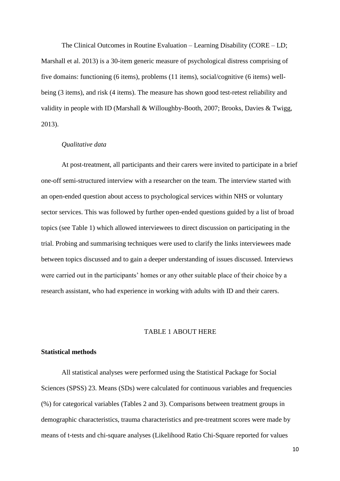The Clinical Outcomes in Routine Evaluation – Learning Disability (CORE – LD; Marshall et al. 2013) is a 30-item generic measure of psychological distress comprising of five domains: functioning (6 items), problems (11 items), social/cognitive (6 items) wellbeing (3 items), and risk (4 items). The measure has shown good test-retest reliability and validity in people with ID (Marshall & Willoughby-Booth, 2007; Brooks, Davies & Twigg, 2013).

## *Qualitative data*

At post-treatment, all participants and their carers were invited to participate in a brief one-off semi-structured interview with a researcher on the team. The interview started with an open-ended question about access to psychological services within NHS or voluntary sector services. This was followed by further open-ended questions guided by a list of broad topics (see Table 1) which allowed interviewees to direct discussion on participating in the trial. Probing and summarising techniques were used to clarify the links interviewees made between topics discussed and to gain a deeper understanding of issues discussed. Interviews were carried out in the participants' homes or any other suitable place of their choice by a research assistant, who had experience in working with adults with ID and their carers.

## TABLE 1 ABOUT HERE

## **Statistical methods**

All statistical analyses were performed using the Statistical Package for Social Sciences (SPSS) 23. Means (SDs) were calculated for continuous variables and frequencies (%) for categorical variables (Tables 2 and 3). Comparisons between treatment groups in demographic characteristics, trauma characteristics and pre-treatment scores were made by means of t-tests and chi-square analyses (Likelihood Ratio Chi-Square reported for values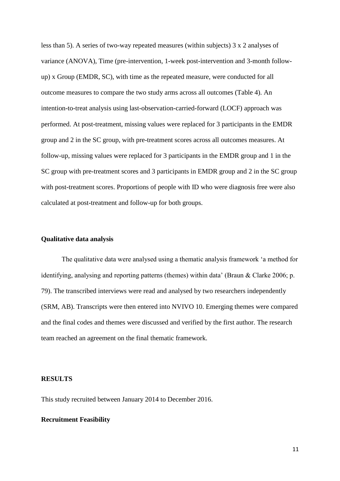less than 5). A series of two-way repeated measures (within subjects) 3 x 2 analyses of variance (ANOVA), Time (pre-intervention, 1-week post-intervention and 3-month followup) x Group (EMDR, SC), with time as the repeated measure, were conducted for all outcome measures to compare the two study arms across all outcomes (Table 4). An intention-to-treat analysis using last-observation-carried-forward (LOCF) approach was performed. At post-treatment, missing values were replaced for 3 participants in the EMDR group and 2 in the SC group, with pre-treatment scores across all outcomes measures. At follow-up, missing values were replaced for 3 participants in the EMDR group and 1 in the SC group with pre-treatment scores and 3 participants in EMDR group and 2 in the SC group with post-treatment scores. Proportions of people with ID who were diagnosis free were also calculated at post-treatment and follow-up for both groups.

## **Qualitative data analysis**

The qualitative data were analysed using a thematic analysis framework 'a method for identifying, analysing and reporting patterns (themes) within data' (Braun & Clarke 2006; p. 79). The transcribed interviews were read and analysed by two researchers independently (SRM, AB). Transcripts were then entered into NVIVO 10. Emerging themes were compared and the final codes and themes were discussed and verified by the first author. The research team reached an agreement on the final thematic framework.

# **RESULTS**

This study recruited between January 2014 to December 2016.

# **Recruitment Feasibility**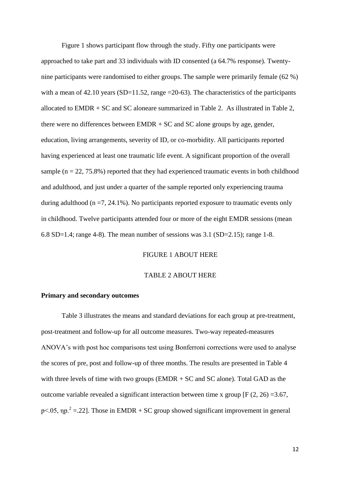Figure 1 shows participant flow through the study. Fifty one participants were approached to take part and 33 individuals with ID consented (a 64.7% response). Twentynine participants were randomised to either groups. The sample were primarily female (62 %) with a mean of 42.10 years (SD=11.52, range =20-63). The characteristics of the participants allocated to EMDR + SC and SC aloneare summarized in Table 2. As illustrated in Table 2, there were no differences between EMDR + SC and SC alone groups by age, gender, education, living arrangements, severity of ID, or co-morbidity. All participants reported having experienced at least one traumatic life event. A significant proportion of the overall sample ( $n = 22, 75.8\%$ ) reported that they had experienced traumatic events in both childhood and adulthood, and just under a quarter of the sample reported only experiencing trauma during adulthood ( $n = 7, 24.1\%$ ). No participants reported exposure to traumatic events only in childhood. Twelve participants attended four or more of the eight EMDR sessions (mean 6.8 SD=1.4; range 4-8). The mean number of sessions was  $3.1$  (SD=2.15); range 1-8.

# FIGURE 1 ABOUT HERE

#### TABLE 2 ABOUT HERE

#### **Primary and secondary outcomes**

Table 3 illustrates the means and standard deviations for each group at pre-treatment, post-treatment and follow-up for all outcome measures. Two-way repeated-measures ANOVA's with post hoc comparisons test using Bonferroni corrections were used to analyse the scores of pre, post and follow-up of three months. The results are presented in Table 4 with three levels of time with two groups (EMDR + SC and SC alone). Total GAD as the outcome variable revealed a significant interaction between time x group [F  $(2, 26) = 3.67$ , p<.05,  $np^2 = 22$ ]. Those in EMDR + SC group showed significant improvement in general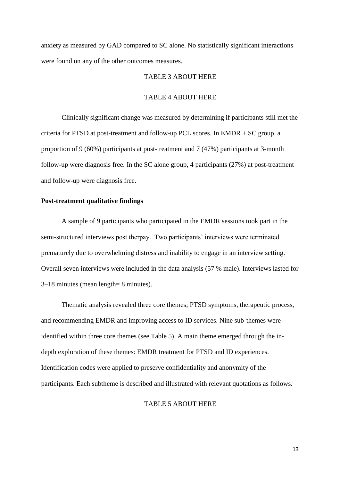anxiety as measured by GAD compared to SC alone. No statistically significant interactions were found on any of the other outcomes measures.

## TABLE 3 ABOUT HERE

## TABLE 4 ABOUT HERE

Clinically significant change was measured by determining if participants still met the criteria for PTSD at post-treatment and follow-up PCL scores. In EMDR + SC group, a proportion of 9 (60%) participants at post-treatment and 7 (47%) participants at 3-month follow-up were diagnosis free. In the SC alone group, 4 participants (27%) at post-treatment and follow-up were diagnosis free.

## **Post-treatment qualitative findings**

A sample of 9 participants who participated in the EMDR sessions took part in the semi-structured interviews post therpay. Two participants' interviews were terminated prematurely due to overwhelming distress and inability to engage in an interview setting. Overall seven interviews were included in the data analysis (57 % male). Interviews lasted for 3–18 minutes (mean length= 8 minutes).

Thematic analysis revealed three core themes; PTSD symptoms, therapeutic process, and recommending EMDR and improving access to ID services. Nine sub-themes were identified within three core themes (see Table 5). A main theme emerged through the indepth exploration of these themes: EMDR treatment for PTSD and ID experiences. Identification codes were applied to preserve confidentiality and anonymity of the participants. Each subtheme is described and illustrated with relevant quotations as follows.

# TABLE 5 ABOUT HERE

13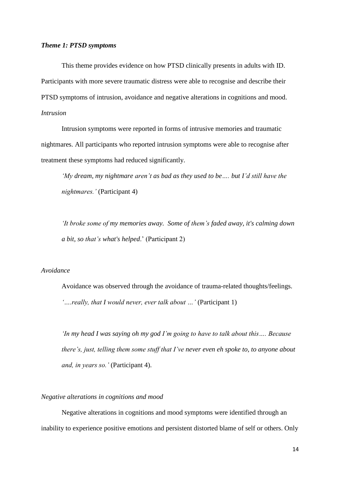## *Theme 1: PTSD symptoms*

This theme provides evidence on how PTSD clinically presents in adults with ID. Participants with more severe traumatic distress were able to recognise and describe their PTSD symptoms of intrusion, avoidance and negative alterations in cognitions and mood. *Intrusion*

Intrusion symptoms were reported in forms of intrusive memories and traumatic nightmares. All participants who reported intrusion symptoms were able to recognise after treatment these symptoms had reduced significantly.

*'My dream, my nightmare aren't as bad as they used to be…. but I'd still have the nightmares.'* (Participant 4)

*'It broke some of my memories away. Some of them's faded away, it's calming down a bit, so that's what's helped*.' (Participant 2)

# *Avoidance*

Avoidance was observed through the avoidance of trauma-related thoughts/feelings. *'….really, that I would never, ever talk about …'* (Participant 1)

*'In my head I was saying oh my god I'm going to have to talk about this…. Because there's, just, telling them some stuff that I've never even eh spoke to, to anyone about and, in years so.'* (Participant 4).

# *Negative alterations in cognitions and mood*

Negative alterations in cognitions and mood symptoms were identified through an inability to experience positive emotions and persistent distorted blame of self or others. Only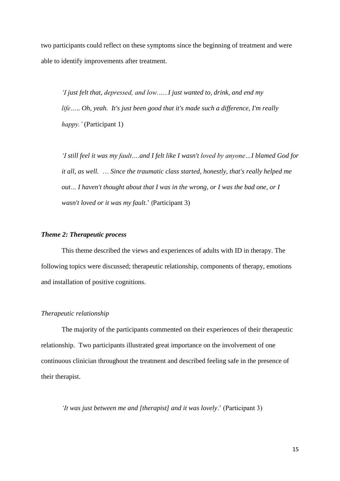two participants could reflect on these symptoms since the beginning of treatment and were able to identify improvements after treatment.

*'I just felt that, depressed, and low.…..I just wanted to, drink, and end my life…*.. *Oh, yeah. It's just been good that it's made such a difference, I'm really happy.'* (Participant 1)

*'I still feel it was my fault….and I felt like I wasn't loved by anyone…I blamed God for it all, as well.* … *Since the traumatic class started, honestly, that's really helped me out… I haven't thought about that I was in the wrong, or I was the bad one, or I wasn't loved or it was my fault*.' (Participant 3)

# *Theme 2: Therapeutic process*

This theme described the views and experiences of adults with ID in therapy. The following topics were discussed; therapeutic relationship, components of therapy, emotions and installation of positive cognitions.

## *Therapeutic relationship*

The majority of the participants commented on their experiences of their therapeutic relationship. Two participants illustrated great importance on the involvement of one continuous clinician throughout the treatment and described feeling safe in the presence of their therapist.

*'It was just between me and [therapist] and it was lovely*.' (Participant 3)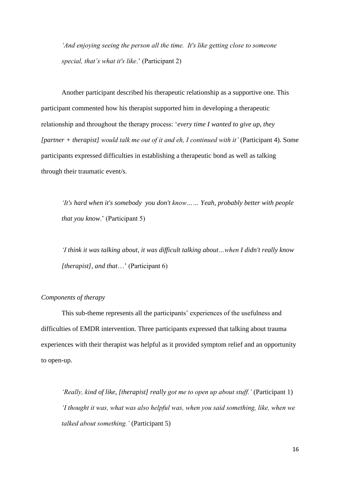*'And enjoying seeing the person all the time. It's like getting close to someone special, that's what it's like*.' (Participant 2)

Another participant described his therapeutic relationship as a supportive one. This participant commented how his therapist supported him in developing a therapeutic relationship and throughout the therapy process: '*every time I wanted to give up, they [partner + therapist] would talk me out of it and eh, I continued with it'* (Participant 4). Some participants expressed difficulties in establishing a therapeutic bond as well as talking through their traumatic event/s.

*'It's hard when it's somebody you don't know…… Yeah, probably better with people that you know*.' (Participant 5)

*'I think it was talking about, it was difficult talking about…when I didn't really know [therapist], and that*…' (Participant 6)

## *Components of therapy*

This sub-theme represents all the participants' experiences of the usefulness and difficulties of EMDR intervention. Three participants expressed that talking about trauma experiences with their therapist was helpful as it provided symptom relief and an opportunity to open-up.

*'Really, kind of like, [therapist] really got me to open up about stuff.'* (Participant 1) *'I thought it was, what was also helpful was, when you said something, like, when we talked about something.'* (Participant 5)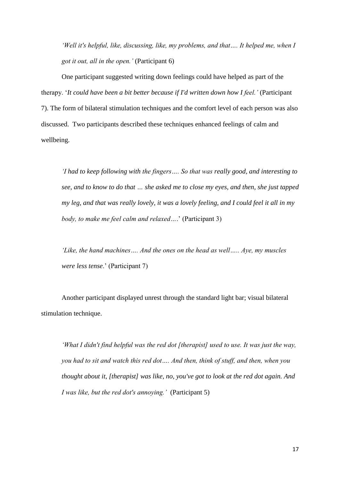*'Well it's helpful, like, discussing, like, my problems, and that…. It helped me, when I got it out, all in the open.'* (Participant 6)

One participant suggested writing down feelings could have helped as part of the therapy. '*It could have been a bit better because if I'd written down how I feel.'* (Participant 7). The form of bilateral stimulation techniques and the comfort level of each person was also discussed. Two participants described these techniques enhanced feelings of calm and wellbeing.

*'I had to keep following with the fingers…. So that was really good, and interesting to see, and to know to do that … she asked me to close my eyes, and then, she just tapped my leg, and that was really lovely, it was a lovely feeling, and I could feel it all in my body, to make me feel calm and relaxed…*.' (Participant 3)

*'Like, the hand machines…. And the ones on the head as well….. Aye, my muscles were less tense*.' (Participant 7)

Another participant displayed unrest through the standard light bar; visual bilateral stimulation technique.

*'What I didn't find helpful was the red dot [therapist] used to use. It was just the way, you had to sit and watch this red dot…. And then, think of stuff, and then, when you thought about it, [therapist] was like, no, you've got to look at the red dot again. And I was like, but the red dot's annoying.'* (Participant 5)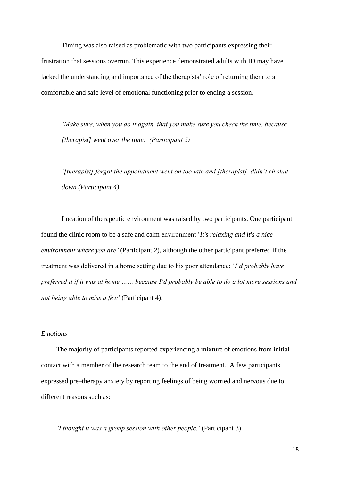Timing was also raised as problematic with two participants expressing their frustration that sessions overrun. This experience demonstrated adults with ID may have lacked the understanding and importance of the therapists' role of returning them to a comfortable and safe level of emotional functioning prior to ending a session.

*'Make sure, when you do it again, that you make sure you check the time, because [therapist] went over the time.' (Participant 5)*

*'[therapist] forgot the appointment went on too late and [therapist] didn't eh shut down (Participant 4).* 

Location of therapeutic environment was raised by two participants. One participant found the clinic room to be a safe and calm environment '*It's relaxing and it's a nice environment where you are'* (Participant 2), although the other participant preferred if the treatment was delivered in a home setting due to his poor attendance; '*I'd probably have preferred it if it was at home …… because I'd probably be able to do a lot more sessions and not being able to miss a few'* (Participant 4).

## *Emotions*

The majority of participants reported experiencing a mixture of emotions from initial contact with a member of the research team to the end of treatment. A few participants expressed pre–therapy anxiety by reporting feelings of being worried and nervous due to different reasons such as:

*'I thought it was a group session with other people.'* (Participant 3)

18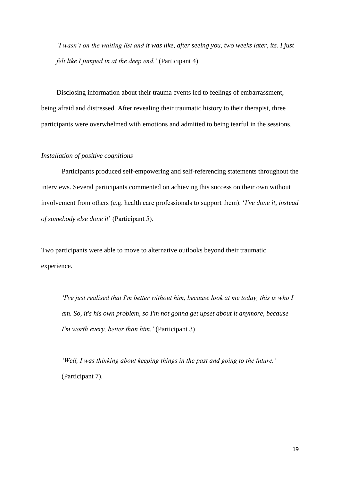*'I wasn't on the waiting list and it was like, after seeing you, two weeks later, its. I just felt like I jumped in at the deep end.'* (Participant 4)

Disclosing information about their trauma events led to feelings of embarrassment, being afraid and distressed. After revealing their traumatic history to their therapist, three participants were overwhelmed with emotions and admitted to being tearful in the sessions.

## *Installation of positive cognitions*

Participants produced self-empowering and self-referencing statements throughout the interviews. Several participants commented on achieving this success on their own without involvement from others (e.g. health care professionals to support them). '*I've done it, instead of somebody else done it*' (Participant 5).

Two participants were able to move to alternative outlooks beyond their traumatic experience.

*'I've just realised that I'm better without him, because look at me today, this is who I am. So, it's his own problem, so I'm not gonna get upset about it anymore, because I'm worth every, better than him.'* (Participant 3)

*'Well, I was thinking about keeping things in the past and going to the future.'*  (Participant 7).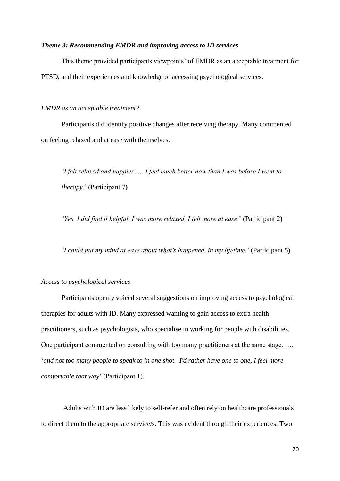## *Theme 3: Recommending EMDR and improving access to ID services*

This theme provided participants viewpoints' of EMDR as an acceptable treatment for PTSD, and their experiences and knowledge of accessing psychological services.

*EMDR as an acceptable treatment?*

Participants did identify positive changes after receiving therapy. Many commented on feeling relaxed and at ease with themselves.

*'I felt relaxed and happier….. I feel much better now than I was before I went to therapy*.' (Participant 7**)**

*'Yes, I did find it helpful. I was more relaxed, I felt more at ease*.' (Participant 2)

*'I could put my mind at ease about what's happened, in my lifetime.'* (Participant 5**)**

## *Access to psychological services*

Participants openly voiced several suggestions on improving access to psychological therapies for adults with ID. Many expressed wanting to gain access to extra health practitioners, such as psychologists, who specialise in working for people with disabilities. One participant commented on consulting with too many practitioners at the same stage. …. '*and not too many people to speak to in one shot. I'd rather have one to one, I feel more comfortable that way*' (Participant 1).

Adults with ID are less likely to self-refer and often rely on healthcare professionals to direct them to the appropriate service/s. This was evident through their experiences. Two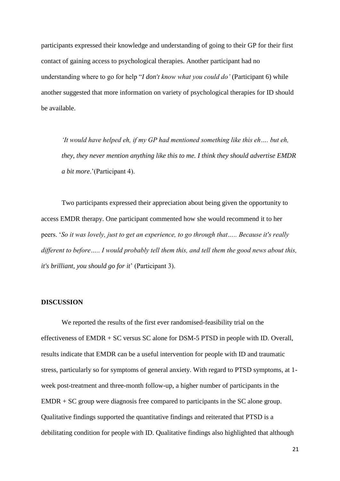participants expressed their knowledge and understanding of going to their GP for their first contact of gaining access to psychological therapies. Another participant had no understanding where to go for help "*I don't know what you could do'* (Participant 6) while another suggested that more information on variety of psychological therapies for ID should be available.

*'It would have helped eh, if my GP had mentioned something like this eh…. but eh, they, they never mention anything like this to me. I think they should advertise EMDR a bit more*.'(Participant 4).

Two participants expressed their appreciation about being given the opportunity to access EMDR therapy. One participant commented how she would recommend it to her peers. '*So it was lovely, just to get an experience, to go through that….. Because it's really different to before….. I would probably tell them this, and tell them the good news about this, it's brilliant, you should go for it*' (Participant 3).

#### **DISCUSSION**

We reported the results of the first ever randomised-feasibility trial on the effectiveness of EMDR + SC versus SC alone for DSM-5 PTSD in people with ID. Overall, results indicate that EMDR can be a useful intervention for people with ID and traumatic stress, particularly so for symptoms of general anxiety. With regard to PTSD symptoms, at 1 week post-treatment and three-month follow-up, a higher number of participants in the EMDR + SC group were diagnosis free compared to participants in the SC alone group. Qualitative findings supported the quantitative findings and reiterated that PTSD is a debilitating condition for people with ID. Qualitative findings also highlighted that although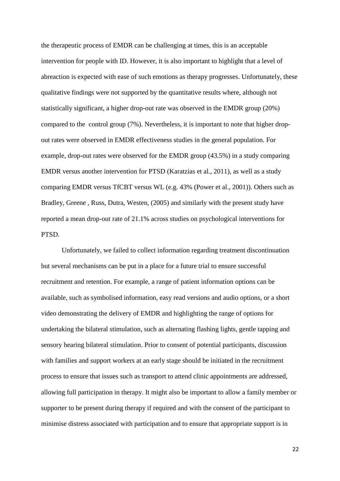the therapeutic process of EMDR can be challenging at times, this is an acceptable intervention for people with ID. However, it is also important to highlight that a level of abreaction is expected with ease of such emotions as therapy progresses. Unfortunately, these qualitative findings were not supported by the quantitative results where, although not statistically significant, a higher drop-out rate was observed in the EMDR group (20%) compared to the control group (7%). Nevertheless, it is important to note that higher dropout rates were observed in EMDR effectiveness studies in the general population. For example, drop-out rates were observed for the EMDR group (43.5%) in a study comparing EMDR versus another intervention for PTSD (Karatzias et al., 2011), as well as a study comparing EMDR versus TfCBT versus WL (e.g. 43% (Power et al., 2001)). Others such as Bradley, Greene , Russ, Dutra, Westen, (2005) and similarly with the present study have reported a mean drop-out rate of 21.1% across studies on psychological interventions for PTSD.

Unfortunately, we failed to collect information regarding treatment discontinuation but several mechanisms can be put in a place for a future trial to ensure successful recruitment and retention. For example, a range of patient information options can be available, such as symbolised information, easy read versions and audio options, or a short video demonstrating the delivery of EMDR and highlighting the range of options for undertaking the bilateral stimulation, such as alternating flashing lights, gentle tapping and sensory hearing bilateral stimulation. Prior to consent of potential participants, discussion with families and support workers at an early stage should be initiated in the recruitment process to ensure that issues such as transport to attend clinic appointments are addressed, allowing full participation in therapy. It might also be important to allow a family member or supporter to be present during therapy if required and with the consent of the participant to minimise distress associated with participation and to ensure that appropriate support is in

22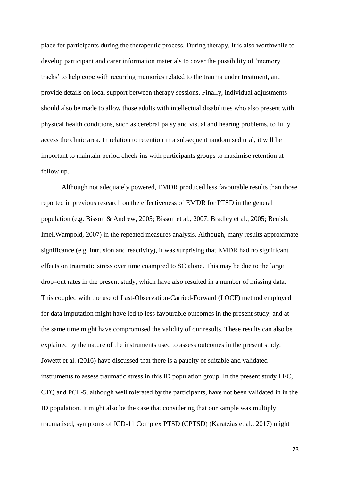place for participants during the therapeutic process. During therapy, It is also worthwhile to develop participant and carer information materials to cover the possibility of 'memory tracks' to help cope with recurring memories related to the trauma under treatment, and provide details on local support between therapy sessions. Finally, individual adjustments should also be made to allow those adults with intellectual disabilities who also present with physical health conditions, such as cerebral palsy and visual and hearing problems, to fully access the clinic area. In relation to retention in a subsequent randomised trial, it will be important to maintain period check-ins with participants groups to maximise retention at follow up.

Although not adequately powered, EMDR produced less favourable results than those reported in previous research on the effectiveness of EMDR for PTSD in the general population (e.g. Bisson & Andrew, 2005; Bisson et al., 2007; Bradley et al., 2005; Benish, Imel,Wampold, 2007) in the repeated measures analysis. Although, many results approximate significance (e.g. intrusion and reactivity), it was surprising that EMDR had no significant effects on traumatic stress over time coampred to SC alone. This may be due to the large drop–out rates in the present study, which have also resulted in a number of missing data. This coupled with the use of Last-Observation-Carried-Forward (LOCF) method employed for data imputation might have led to less favourable outcomes in the present study, and at the same time might have compromised the validity of our results. These results can also be explained by the nature of the instruments used to assess outcomes in the present study. Jowettt et al. (2016) have discussed that there is a paucity of suitable and validated instruments to assess traumatic stress in this ID population group. In the present study LEC, CTQ and PCL-5, although well tolerated by the participants, have not been validated in in the ID population. It might also be the case that considering that our sample was multiply traumatised, symptoms of ICD-11 Complex PTSD (CPTSD) (Karatzias et al., 2017) might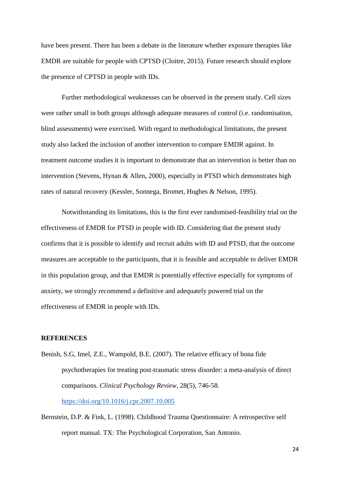have been present. There has been a debate in the literature whether exposure therapies like EMDR are suitable for people with CPTSD (Cloitre, 2015). Future research should explore the presence of CPTSD in people with IDs.

Further methodological weaknesses can be observed in the present study. Cell sizes were rather small in both groups although adequate measures of control (i.e. randomisation, blind assessments) were exercised. With regard to methodological limitations, the present study also lacked the inclusion of another intervention to compare EMDR against. In treatment outcome studies it is important to demonstrate that an intervention is better than no intervention (Stevens, Hynan & Allen, 2000), especially in PTSD which demonstrates high rates of natural recovery (Kessler, Sonnega, Bromet, Hughes & Nelson, 1995).

Notwithstanding its limitations, this is the first ever randomised-feasibility trial on the effectiveness of EMDR for PTSD in people with ID. Considering that the present study confirms that it is possible to identify and recruit adults with ID and PTSD, that the outcome measures are acceptable to the participants, that it is feasible and acceptable to deliver EMDR in this population group, and that EMDR is potentially effective especially for symptoms of anxiety, we strongly recommend a definitive and adequately powered trial on the effectiveness of EMDR in people with IDs.

## **REFERENCES**

Benish, S.G, Imel, Z.E., Wampold, B.E. (2007). The relative efficacy of bona fide psychotherapies for treating post-traumatic stress disorder: a meta-analysis of direct comparisons. *Clinical Psychology Review*, 28(5), 746-58. <https://doi.org/10.1016/j.cpr.2007.10.005>

Bernstein, D.P. & Fink, L. (1998). Childhood Trauma Questionnaire: A retrospective self report manual. TX: The Psychological Corporation, San Antonio.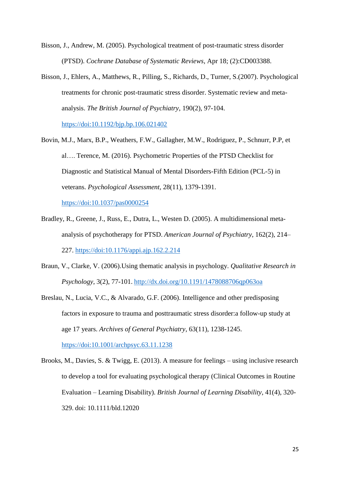- Bisson, J., Andrew, M. (2005). Psychological treatment of post-traumatic stress disorder (PTSD). *Cochrane Database of Systematic Reviews*, Apr 18; (2):CD003388.
- Bisson, J., Ehlers, A., Matthews, R., Pilling, S., Richards, D., Turner, S.(2007). Psychological treatments for chronic post-traumatic stress disorder. Systematic review and metaanalysis. *The British Journal of Psychiatry*, 190(2), 97-104. <https://doi:10.1192/bjp.bp.106.021402>
- Bovin, M.J., Marx, B.P., Weathers, F.W., Gallagher, M.W., Rodriguez, P., Schnurr, P.P, et al…. Terence, M. (2016). Psychometric Properties of the PTSD Checklist for Diagnostic and Statistical Manual of Mental Disorders-Fifth Edition (PCL-5) in veterans. *Psychological Assessment,* 28(11), 1379-1391.

<https://doi:10.1037/pas0000254>

- Bradley, R., Greene, J., Russ, E., Dutra, L., Westen D. (2005). A multidimensional metaanalysis of psychotherapy for PTSD. *American Journal of Psychiatry*, 162(2), 214– 227.<https://doi:10.1176/appi.ajp.162.2.214>
- Braun, V., Clarke, V. (2006).Using thematic analysis in psychology. *Qualitative Research in Psychology*, 3(2), 77-101. <http://dx.doi.org/10.1191/1478088706qp063oa>
- Breslau, N., Lucia, V.C., & Alvarado, G.F. (2006). Intelligence and other predisposing factors in exposure to trauma and posttraumatic stress disorder:a follow-up study at age 17 years. *Archives of General Psychiatry*, 63(11), 1238-1245. <https://doi:10.1001/archpsyc.63.11.1238>
- Brooks, M., Davies, S. & Twigg, E. (2013). A measure for feelings using inclusive research to develop a tool for evaluating psychological therapy (Clinical Outcomes in Routine Evaluation – Learning Disability). *British Journal of Learning Disability*, 41(4), 320- 329. doi: 10.1111/bld.12020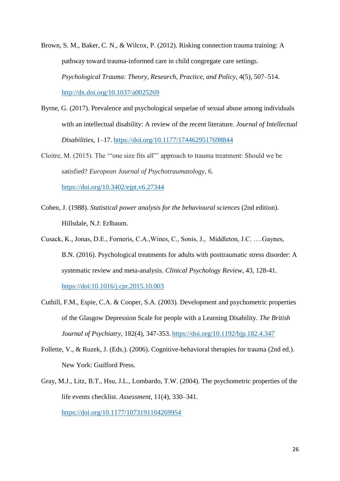Brown, S. M., Baker, C. N., & Wilcox, P. (2012). Risking connection trauma training: A pathway toward trauma-informed care in child congregate care settings. *Psychological Trauma: Theory, Research, Practice, and Policy*, 4(5), 507–514. <http://dx.doi.org/10.1037/a0025269>

Byrne, G. (2017). Prevalence and psychological sequelae of sexual abuse among individuals with an intellectual disability: A review of the recent literature. *Journal of Intellectual Disabilities*, 1–17. <https://doi.org/10.1177/1744629517698844>

Cloitre, M. (2015). The '"one size fits all"' approach to trauma treatment: Should we be satisfied? *European Journal of Psychotraumatology*, 6. <https://doi.org/10.3402/ejpt.v6.27344>

Cohen, J. (1988). *Statistical power analysis for the behavioural sciences* (2nd edition). Hillsdale, N.J: Erlbaum.

Cusack, K., Jonas, D.E., Forneris, C.A.,Wines, C., Sonis, J., Middleton, J.C. ….Gaynes, B.N. (2016). Psychological treatments for adults with posttraumatic stress disorder: A systematic review and meta-analysis. *Clinical Psychology Review*, 43, 128-41. <https://doi:10.1016/j.cpr.2015.10.003>

- Cuthill, F.M., Espie, C.A. & Cooper, S.A. (2003). Development and psychometric properties of the Glasgow Depression Scale for people with a Learning Disability. *The British Journal of Psychiatry,* 182(4), 347-353. <https://doi.org/10.1192/bjp.182.4.347>
- Follette, V., & Ruzek, J. (Eds.). (2006). Cognitive-behavioral therapies for trauma (2nd ed.). New York: Guilford Press.
- Gray, M.J., Litz, B.T., Hsu, J.L., Lombardo, T.W. (2004). The psychometric properties of the life events checklist. *Assessment,* 11(4), 330–341. <https://doi.org/10.1177/1073191104269954>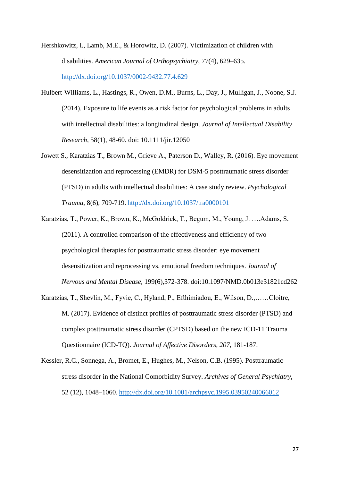- Hershkowitz, I., Lamb, M.E., & Horowitz, D. (2007). Victimization of children with disabilities. *American Journal of Orthopsychiatry*, 77(4), 629–635. <http://dx.doi.org/10.1037/0002-9432.77.4.629>
- Hulbert-Williams, L., Hastings, R., Owen, D.M., Burns, L., Day, J., Mulligan, J., Noone, S.J. (2014). Exposure to life events as a risk factor for psychological problems in adults with intellectual disabilities: a longitudinal design. *Journal of Intellectual Disability Research,* 58(1), 48-60. doi: 10.1111/jir.12050
- Jowett S., Karatzias T., Brown M., Grieve A., Paterson D., Walley, R. (2016). Eye movement desensitization and reprocessing (EMDR) for DSM-5 posttraumatic stress disorder (PTSD) in adults with intellectual disabilities: A case study review. *Psychological Trauma*, 8(6), 709-719. <http://dx.doi.org/10.1037/tra0000101>
- Karatzias, T., Power, K., Brown, K., McGoldrick, T., Begum, M., Young, J. ….Adams, S. (2011). A controlled comparison of the effectiveness and efficiency of two psychological therapies for posttraumatic stress disorder: eye movement desensitization and reprocessing vs. emotional freedom techniques. *Journal of Nervous and Mental Disease*, 199(6),372-378. doi:10.1097/NMD.0b013e31821cd262
- Karatzias, T., Shevlin, M., Fyvie, C., Hyland, P., Efthimiadou, E., Wilson, D.,……Cloitre, M. (2017). Evidence of distinct profiles of posttraumatic stress disorder (PTSD) and complex posttraumatic stress disorder (CPTSD) based on the new ICD-11 Trauma Questionnaire (ICD-TQ). *Journal of Affective Disorders, 207,* 181-187.
- Kessler, R.C., Sonnega, A., Bromet, E., Hughes, M., Nelson, C.B. (1995). Posttraumatic stress disorder in the National Comorbidity Survey. *Archives of General Psychiatry*, 52 (12), 1048–1060. <http://dx.doi.org/10.1001/archpsyc.1995.03950240066012>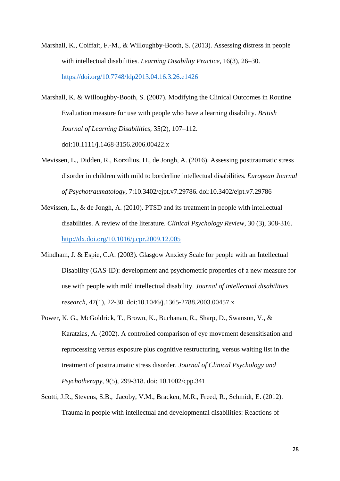- Marshall, K., Coiffait, F.-M., & Willoughby-Booth, S. (2013). Assessing distress in people with intellectual disabilities. *Learning Disability Practice*, 16(3), 26–30. <https://doi.org/10.7748/ldp2013.04.16.3.26.e1426>
- Marshall, K. & Willoughby-Booth, S. (2007). Modifying the Clinical Outcomes in Routine Evaluation measure for use with people who have a learning disability. *British Journal of Learning Disabilities,* 35(2), 107–112. doi:10.1111/j.1468-3156.2006.00422.x
- Mevissen, L., Didden, R., Korzilius, H., de Jongh, A. (2016). Assessing posttraumatic stress disorder in children with mild to borderline intellectual disabilities. *European Journal of Psychotraumatology*, 7:10.3402/ejpt.v7.29786. doi:10.3402/ejpt.v7.29786
- Mevissen, L., & de Jongh, A. (2010). PTSD and its treatment in people with intellectual disabilities. A review of the literature. *Clinical Psychology Review*, 30 (3), 308-316. <http://dx.doi.org/10.1016/j.cpr.2009.12.005>
- Mindham, J. & Espie, C.A. (2003). Glasgow Anxiety Scale for people with an Intellectual Disability (GAS-ID): development and psychometric properties of a new measure for use with people with mild intellectual disability. *Journal of intellectual disabilities research,* 47(1), 22-30. doi:10.1046/j.1365-2788.2003.00457.x
- Power, K. G., McGoldrick, T., Brown, K., Buchanan, R., Sharp, D., Swanson, V., & Karatzias, A. (2002). A controlled comparison of eye movement desensitisation and reprocessing versus exposure plus cognitive restructuring, versus waiting list in the treatment of posttraumatic stress disorder. *Journal of Clinical Psychology and Psychotherapy*, 9(5), 299-318. doi: 10.1002/cpp.341
- Scotti, J.R., Stevens, S.B., Jacoby, V.M., Bracken, M.R., Freed, R., Schmidt, E. (2012). Trauma in people with intellectual and developmental disabilities: Reactions of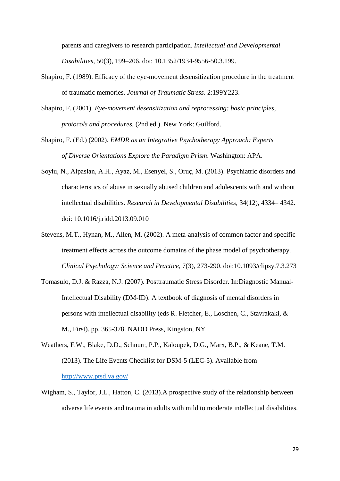parents and caregivers to research participation. *Intellectual and Developmental Disabilities,* 50(3), 199–206. doi: 10.1352/1934-9556-50.3.199.

- Shapiro, F. (1989). Efficacy of the eye-movement desensitization procedure in the treatment of traumatic memories. *Journal of Traumatic Stress*. 2:199Y223.
- Shapiro, F. (2001). *Eye-movement desensitization and reprocessing: basic principles, protocols and procedures.* (2nd ed.). New York: Guilford.
- Shapiro, F. (Ed.) (2002). *EMDR as an Integrative Psychotherapy Approach: Experts of Diverse Orientations Explore the Paradigm Prism*. Washington: APA.
- Soylu, N., Alpaslan, A.H., Ayaz, M., Esenyel, S., Oruç, M. (2013). Psychiatric disorders and characteristics of abuse in sexually abused children and adolescents with and without intellectual disabilities. *Research in Developmental Disabilities,* 34(12), 4334– 4342. doi: [10.1016/j.ridd.2013.09.010](https://doi.org/10.1016/j.ridd.2013.09.010)
- Stevens, M.T., Hynan, M., Allen, M. (2002). A meta-analysis of common factor and specific treatment effects across the outcome domains of the phase model of psychotherapy. *Clinical Psychology: Science and Practice*, 7(3), 273-290. doi:10.1093/clipsy.7.3.273
- Tomasulo, D.J. & Razza, N.J. (2007). Posttraumatic Stress Disorder. In:Diagnostic Manual-Intellectual Disability (DM-ID): A textbook of diagnosis of mental disorders in persons with intellectual disability (eds R. Fletcher, E., Loschen, C., Stavrakaki, & M., First). pp. 365-378. NADD Press, Kingston, NY
- Weathers, F.W., Blake, D.D., Schnurr, P.P., Kaloupek, D.G., Marx, B.P., & Keane, T.M. (2013). The Life Events Checklist for DSM-5 (LEC-5). Available from <http://www.ptsd.va.gov/>
- Wigham, S., Taylor, J.L., Hatton, C. (2013).A prospective study of the relationship between adverse life events and trauma in adults with mild to moderate intellectual disabilities.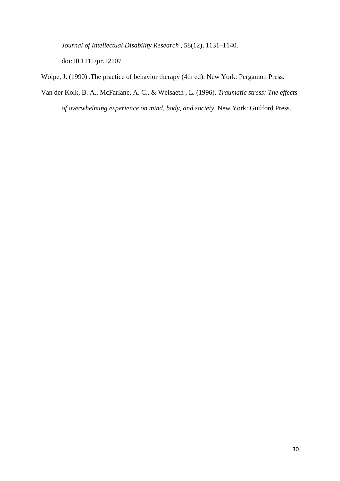*Journal of Intellectual Disability Research* , 58(12), 1131–1140.

doi:10.1111/jir.12107

Wolpe, J. (1990) .The practice of behavior therapy (4th ed). New York: Pergamon Press.

Van der Kolk, B. A., McFarlane, A. C., & Weisaeth , L. (1996). *Traumatic stress: The effects of overwhelming experience on mind, body, and society*. New York: Guilford Press.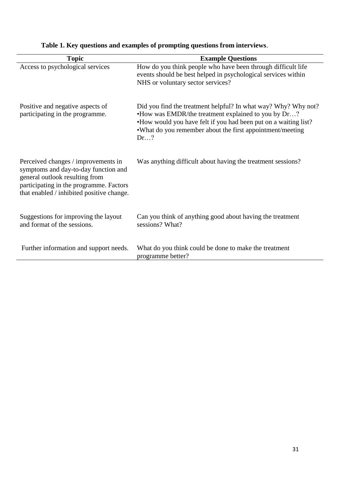| <b>Topic</b>                                                                                                                                                                                          | <b>Example Questions</b>                                                                                                                                                                                                                                      |
|-------------------------------------------------------------------------------------------------------------------------------------------------------------------------------------------------------|---------------------------------------------------------------------------------------------------------------------------------------------------------------------------------------------------------------------------------------------------------------|
| Access to psychological services                                                                                                                                                                      | How do you think people who have been through difficult life<br>events should be best helped in psychological services within<br>NHS or voluntary sector services?                                                                                            |
| Positive and negative aspects of<br>participating in the programme.                                                                                                                                   | Did you find the treatment helpful? In what way? Why? Why not?<br>•How was EMDR/the treatment explained to you by Dr?<br>•How would you have felt if you had been put on a waiting list?<br>. What do you remember about the first appointment/meeting<br>Dr? |
| Perceived changes / improvements in<br>symptoms and day-to-day function and<br>general outlook resulting from<br>participating in the programme. Factors<br>that enabled / inhibited positive change. | Was anything difficult about having the treatment sessions?                                                                                                                                                                                                   |
| Suggestions for improving the layout<br>and format of the sessions.                                                                                                                                   | Can you think of anything good about having the treatment<br>sessions? What?                                                                                                                                                                                  |
| Further information and support needs.                                                                                                                                                                | What do you think could be done to make the treatment<br>programme better?                                                                                                                                                                                    |

# **Table 1. Key questions and examples of prompting questions from interviews**.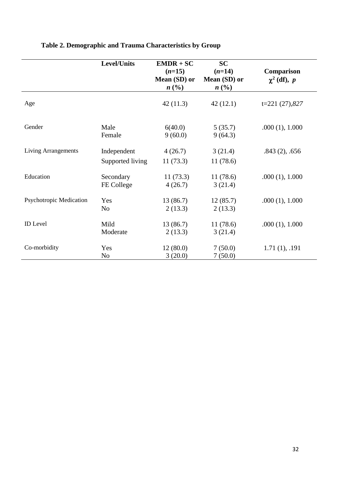|                                | <b>Level/Units</b>              | $EMDR + SC$<br>$(n=15)$<br>Mean (SD) or<br>$n\ (\%)$ | <b>SC</b><br>$(n=14)$<br>Mean (SD) or<br>$n\ (\%)$ | Comparison<br>$\chi^2$ (df), p |
|--------------------------------|---------------------------------|------------------------------------------------------|----------------------------------------------------|--------------------------------|
| Age                            |                                 | 42(11.3)                                             | 42(12.1)                                           | $t=221(27),827$                |
| Gender                         | Male<br>Female                  | 6(40.0)<br>9(60.0)                                   | 5(35.7)<br>9(64.3)                                 | .000(1), 1.000                 |
| <b>Living Arrangements</b>     | Independent<br>Supported living | 4(26.7)<br>11(73.3)                                  | 3(21.4)<br>11(78.6)                                | $.843(2)$ , .656               |
| Education                      | Secondary<br>FE College         | 11(73.3)<br>4(26.7)                                  | 11(78.6)<br>3(21.4)                                | .000(1), 1.000                 |
| <b>Psychotropic Medication</b> | Yes<br>N <sub>o</sub>           | 13(86.7)<br>2(13.3)                                  | 12(85.7)<br>2(13.3)                                | .000(1), 1.000                 |
| <b>ID</b> Level                | Mild<br>Moderate                | 13(86.7)<br>2(13.3)                                  | 11(78.6)<br>3(21.4)                                | .000(1), 1.000                 |
| Co-morbidity                   | Yes<br>N <sub>o</sub>           | 12(80.0)<br>3(20.0)                                  | 7(50.0)<br>7(50.0)                                 | 1.71(1), .191                  |

# **Table 2. Demographic and Trauma Characteristics by Group**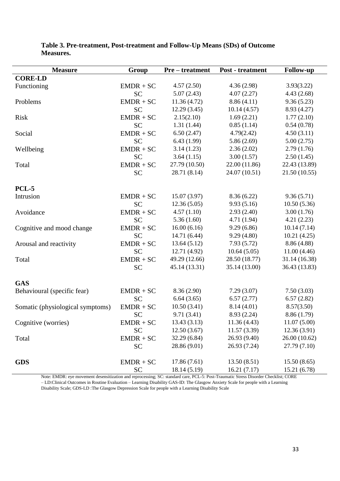| <b>Measure</b>                   | Group       | <b>Pre-treatment</b> | <b>Post</b> - treatment | <b>Follow-up</b> |
|----------------------------------|-------------|----------------------|-------------------------|------------------|
| <b>CORE-LD</b>                   |             |                      |                         |                  |
| Functioning                      | $EMDR + SC$ | 4.57(2.50)           | 4.36(2.98)              | 3.93(3.22)       |
|                                  | <b>SC</b>   | 5.07(2.43)           | 4.07(2.27)              | 4.43(2.68)       |
| Problems                         | $EMDR + SC$ | 11.36(4.72)          | 8.86(4.11)              | 9.36(5.23)       |
|                                  | <b>SC</b>   | 12.29(3.45)          | 10.14(4.57)             | 8.93 (4.27)      |
| Risk                             | $EMDR + SC$ | 2.15(2.10)           | 1.69(2.21)              | 1.77(2.10)       |
|                                  | <b>SC</b>   | 1.31(1.44)           | 0.85(1.14)              | 0.54(0.78)       |
| Social                           | $EMDR + SC$ | 6.50(2.47)           | 4.79(2.42)              | 4.50(3.11)       |
|                                  | <b>SC</b>   | 6.43(1.99)           | 5.86(2.69)              | 5.00(2.75)       |
| Wellbeing                        | $EMDR + SC$ | 3.14(1.23)           | 2.36(2.02)              | 2.79(1.76)       |
|                                  | <b>SC</b>   | 3.64(1.15)           | 3.00(1.57)              | 2.50(1.45)       |
| Total                            | $EMDR + SC$ | 27.79 (10.50)        | 22.00 (11.86)           | 22.43 (13.89)    |
|                                  | <b>SC</b>   | 28.71 (8.14)         | 24.07 (10.51)           | 21.50(10.55)     |
|                                  |             |                      |                         |                  |
| <b>PCL-5</b>                     |             |                      |                         |                  |
| Intrusion                        | $EMDR + SC$ | 15.07(3.97)          | 8.36(6.22)              | 9.36(5.71)       |
|                                  | <b>SC</b>   | 12.36(5.05)          | 9.93(5.16)              | 10.50(5.36)      |
| Avoidance                        | $EMDR + SC$ | 4.57(1.10)           | 2.93(2.40)              | 3.00(1.76)       |
|                                  | <b>SC</b>   | 5.36(1.60)           | 4.71(1.94)              | 4.21(2.23)       |
| Cognitive and mood change        | $EMDR + SC$ | 16.00(6.16)          | 9.29(6.86)              | 10.14(7.14)      |
|                                  | <b>SC</b>   | 14.71 (6.44)         | 9.29(4.80)              | 10.21(4.25)      |
| Arousal and reactivity           | $EMDR + SC$ | 13.64(5.12)          | 7.93(5.72)              | 8.86 (4.88)      |
|                                  | <b>SC</b>   | 12.71 (4.92)         | 10.64(5.05)             | 11.00(4.46)      |
| Total                            | $EMDR + SC$ | 49.29 (12.66)        | 28.50 (18.77)           | 31.14 (16.38)    |
|                                  | <b>SC</b>   | 45.14 (13.31)        | 35.14 (13.00)           | 36.43 (13.83)    |
|                                  |             |                      |                         |                  |
| <b>GAS</b>                       |             |                      |                         |                  |
| Behavioural (specific fear)      | $EMDR + SC$ | 8.36 (2.90)          | 7.29(3.07)              | 7.50(3.03)       |
|                                  | <b>SC</b>   | 6.64(3.65)           | 6.57(2.77)              | 6.57(2.82)       |
| Somatic (physiological symptoms) | $EMDR + SC$ | 10.50(3.41)          | 8.14(4.01)              | 8.57(3.50)       |
|                                  | <b>SC</b>   | 9.71(3.41)           | 8.93 (2.24)             | 8.86 (1.79)      |
| Cognitive (worries)              | $EMDR + SC$ | 13.43(3.13)          | 11.36(4.43)             | 11.07(5.00)      |
|                                  | <b>SC</b>   | 12.50(3.67)          | 11.57(3.39)             | 12.36(3.91)      |
| Total                            | $EMDR + SC$ | 32.29 (6.84)         | 26.93 (9.40)            | 26.00 (10.62)    |
|                                  | <b>SC</b>   | 28.86 (9.01)         | 26.93 (7.24)            | 27.79 (7.10)     |
|                                  |             |                      |                         |                  |
| <b>GDS</b>                       | $EMDR + SC$ | 17.86(7.61)          | 13.50(8.51)             | 15.50(8.65)      |
|                                  | <b>SC</b>   | 18.14(5.19)          | 16.21(7.17)             | 15.21 (6.78)     |

# **Table 3. Pre-treatment, Post-treatment and Follow-Up Means (SDs) of Outcome Measures.**

Note: EMDR: eye movement desensitization and reprocessing; SC: standard care, PCL-5: Post-Traumatic Stress Disorder Checklist; CORE – LD:Clinical Outcomes in Routine Evaluation – Learning Disability GAS-ID: The Glasgow Anxiety Scale for people with a Learning Disability Scale; GDS-LD :The Glasgow Depression Scale for people with a Learning Disability Scale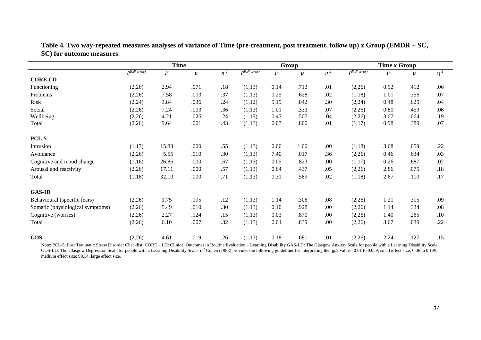|                                  | <b>Time</b>             |          |                  |          | Group         |                  |                  | <b>Time x Group</b> |                      |      |                  |          |
|----------------------------------|-------------------------|----------|------------------|----------|---------------|------------------|------------------|---------------------|----------------------|------|------------------|----------|
|                                  | $\sqrt{df}$ , df error) | $\cal F$ | $\boldsymbol{p}$ | $\eta^2$ | df, df error) | $\boldsymbol{F}$ | $\boldsymbol{p}$ | $\eta^2$            | $\int df, df$ error) | F    | $\boldsymbol{p}$ | $\eta^2$ |
| <b>CORE-LD</b>                   |                         |          |                  |          |               |                  |                  |                     |                      |      |                  |          |
| Functioning                      | (2,26)                  | 2.94     | .071             | .18      | (1,13)        | 0.14             | .713             | .01                 | (2,26)               | 0.92 | .412             | .06      |
| Problems                         | (2,26)                  | 7.58     | .003             | .37      | (1,13)        | 0.25             | .628             | .02                 | (1,18)               | 1.01 | .356             | .07      |
| Risk                             | (2, 24)                 | 3.84     | .036             | .24      | (1,12)        | 5.19             | .042             | .30                 | (2,24)               | 0.48 | .625             | .04      |
| Social                           | (2,26)                  | 7.24     | .003             | .36      | (1,13)        | 1.01             | .333             | .07                 | (2,26)               | 0.80 | .459             | .06      |
| Wellbeing                        | (2,26)                  | 4.21     | .026             | .24      | (1,13)        | 0.47             | .507             | .04                 | (2,26)               | 3.07 | .064             | .19      |
| Total                            | (2,26)                  | 9.64     | .001             | .43      | (1,13)        | 0.07             | .800             | .01                 | (1,17)               | 0.98 | .389             | .07      |
| <b>PCL-5</b>                     |                         |          |                  |          |               |                  |                  |                     |                      |      |                  |          |
| Intrusion                        | (1,17)                  | 15.83    | .000             | .55      | (1,13)        | 0.00             | 1.00             | .00                 | (1,18)               | 3.68 | .059             | .22      |
| Avoidance                        | (2,26)                  | 5.55     | .010             | .30      | (1,13)        | 7.40             | .017             | .36                 | (2,26)               | 0.46 | .634             | .03      |
| Cognitive and mood change        | (1,16)                  | 26.86    | .000             | .67      | (1,13)        | 0.05             | .823             | .00                 | (1,17)               | 0.26 | .687             | .02      |
| Arousal and reactivity           | (2,26)                  | 17.11    | .000             | .57      | (1,13)        | 0.64             | .437             | .05                 | (2,26)               | 2.86 | .075             | .18      |
| Total                            | (1,18)                  | 32.10    | .000             | .71      | (1,13)        | 0.31             | .589             | .02                 | (1,18)               | 2.67 | .110             | .17      |
| <b>GAS-ID</b>                    |                         |          |                  |          |               |                  |                  |                     |                      |      |                  |          |
| Behavioural (specific fears)     | (2,26)                  | 1.75     | .195             | .12      | (1,13)        | 1.14             | .306             | .08                 | (2,26)               | 1.21 | .315             | .09      |
| Somatic (physiological symptoms) | (2,26)                  | 5.49     | .010             | .30      | (1,13)        | 0.10             | .928             | .00                 | (2,26)               | 1.14 | .334             | .08      |
| Cognitive (worries)              | (2,26)                  | 2.27     | .124             | .15      | (1,13)        | 0.03             | .870             | .00                 | (2,26)               | 1.40 | .265             | .10      |
| Total                            | (2,26)                  | 6.10     | .007             | .32      | (1,13)        | 0.04             | .839             | .00                 | (2,26)               | 3.67 | .039             | .22      |
| <b>GDS</b>                       | (2,26)                  | 4.61     | .019             | .26      | (1,13)        | 0.18             | .681             | .01                 | (2,26)               | 2.24 | .127             | .15      |

**Table 4. Two way-repeated measures analyses of variance of Time (pre-treatment, post treatment, follow up) x Group (EMDR + SC, SC) for outcome measures**.

Note: PCL-5: Post Traumatic Stress Disorder Checklist; CORE – LD: Clinical Outcomes in Routine Evaluation – Learning Disability GAS-LD: The Glasgow Anxiety Scale for people with a Learning Disability Scale; GDS-LD: The Glasgow Depression Scale for people with a Learning Disability Scale.  $\eta$  <sup>2</sup> Cohen (1988) provides the following guidelines for interpreting the  $\eta$ p. 2 values: 0.01 to 0.059, small effect size; 0.06 to 0.1 medium effect size; 90.14, large effect size.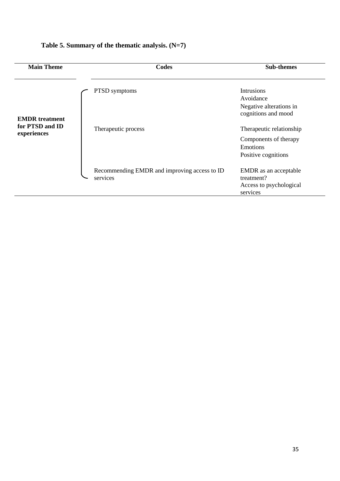| <b>Main Theme</b>              | Codes                                                    | <b>Sub-themes</b>                                                                    |
|--------------------------------|----------------------------------------------------------|--------------------------------------------------------------------------------------|
| <b>EMDR</b> treatment          | PTSD symptoms                                            | <b>Intrusions</b><br>Avoidance<br>Negative alterations in<br>cognitions and mood     |
| for PTSD and ID<br>experiences | Therapeutic process                                      | Therapeutic relationship<br>Components of therapy<br>Emotions<br>Positive cognitions |
|                                | Recommending EMDR and improving access to ID<br>services | EMDR as an acceptable<br>treatment?<br>Access to psychological<br>services           |

# **Table 5. Summary of the thematic analysis. (N=7)**